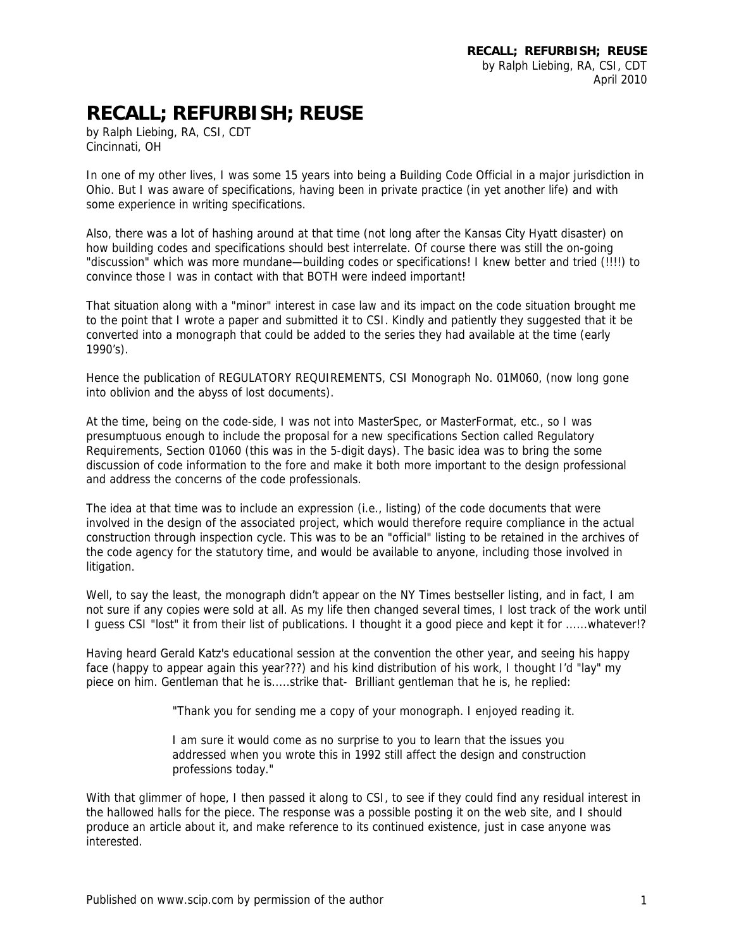## **RECALL; REFURBISH; REUSE**

by Ralph Liebing, RA, CSI, CDT Cincinnati, OH

In one of my other lives, I was some 15 years into being a Building Code Official in a major jurisdiction in Ohio. But I was aware of specifications, having been in private practice (in yet another life) and with some experience in writing specifications.

Also, there was a lot of hashing around at that time (not long after the Kansas City Hyatt disaster) on how building codes and specifications should best interrelate. Of course there was still the on-going "discussion" which was more mundane—building codes or specifications! I knew better and tried (!!!!) to convince those I was in contact with that BOTH were indeed important!

That situation along with a "minor" interest in case law and its impact on the code situation brought me to the point that I wrote a paper and submitted it to CSI. Kindly and patiently they suggested that it be converted into a monograph that could be added to the series they had available at the time (early 1990's).

Hence the publication of REGULATORY REQUIREMENTS, CSI Monograph No. 01M060, (now long gone into oblivion and the abyss of lost documents).

At the time, being on the code-side, I was not into MasterSpec, or MasterFormat, etc., so I was presumptuous enough to include the proposal for a new specifications Section called Regulatory Requirements, Section 01060 (this was in the 5-digit days). The basic idea was to bring the some discussion of code information to the fore and make it both more important to the design professional and address the concerns of the code professionals.

The idea at that time was to include an expression (i.e., listing) of the code documents that were involved in the design of the associated project, which would therefore require compliance in the actual construction through inspection cycle. This was to be an "official" listing to be retained in the archives of the code agency for the statutory time, and would be available to anyone, including those involved in litigation.

Well, to say the least, the monograph didn't appear on the NY Times bestseller listing, and in fact, I am not sure if any copies were sold at all. As my life then changed several times, I lost track of the work until I guess CSI "lost" it from their list of publications. I thought it a good piece and kept it for ......whatever!?

Having heard Gerald Katz's educational session at the convention the other year, and seeing his happy face (happy to appear again this year???) and his kind distribution of his work, I thought I'd "lay" my piece on him. Gentleman that he is.....strike that- Brilliant gentleman that he is, he replied:

"Thank you for sending me a copy of your monograph. I enjoyed reading it.

I am sure it would come as no surprise to you to learn that the issues you addressed when you wrote this in 1992 still affect the design and construction professions today."

With that glimmer of hope, I then passed it along to CSI, to see if they could find any residual interest in the hallowed halls for the piece. The response was a possible posting it on the web site, and I should produce an article about it, and make reference to its continued existence, just in case anyone was interested.